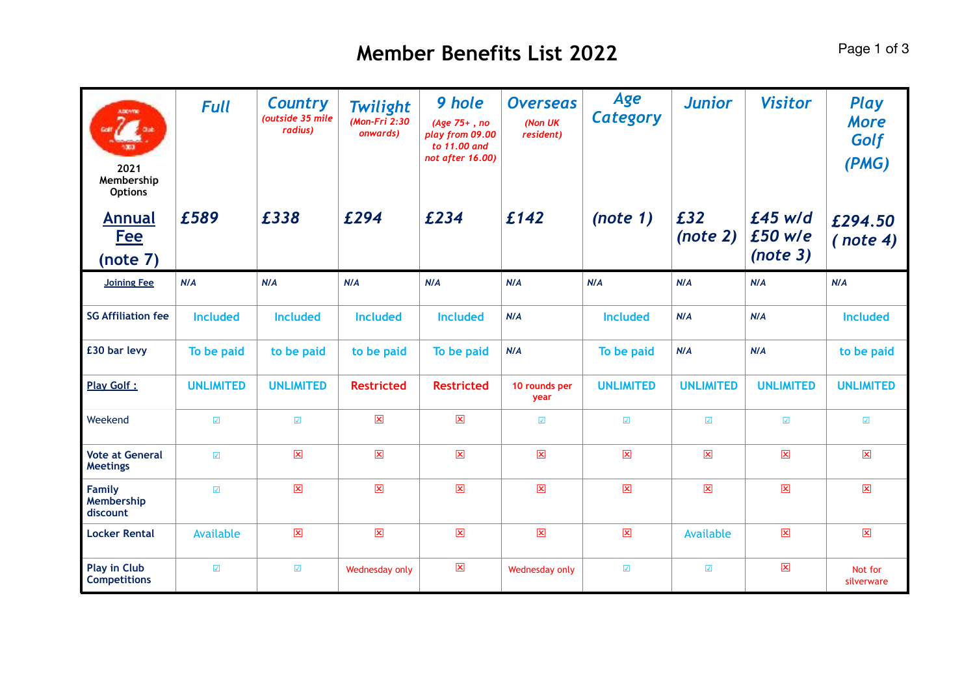| <b>ADDIVITIE</b><br>2021<br>Membership<br><b>Options</b><br><b>Annual</b><br><b>Fee</b><br>(note 7) | <b>Full</b><br>£589      | <b>Country</b><br>(outside 35 mile<br>radius)<br>£338 | <b>Twilight</b><br>(Mon-Fri 2:30<br>onwards)<br>£294 | 9 hole<br>(Age 75+, no<br>play from 09.00<br>to 11.00 and<br>not after 16.00)<br>£234 | <b>Overseas</b><br>(Non UK<br>resident)<br>£142 | Age<br><b>Category</b><br>(note 1) | <b>Junior</b><br>£32<br>(note 2) | <b>Visitor</b><br>$£45$ w/d<br>£50 w/e<br>(note 3) | <b>Play</b><br><b>More</b><br>Golf<br>(PMG)<br>£294.50<br>( note 4) |
|-----------------------------------------------------------------------------------------------------|--------------------------|-------------------------------------------------------|------------------------------------------------------|---------------------------------------------------------------------------------------|-------------------------------------------------|------------------------------------|----------------------------------|----------------------------------------------------|---------------------------------------------------------------------|
| <b>Joining Fee</b>                                                                                  | N/A                      | N/A                                                   | N/A                                                  | N/A                                                                                   | N/A                                             | N/A                                | N/A                              | N/A                                                | N/A                                                                 |
| <b>SG Affiliation fee</b>                                                                           | <b>Included</b>          | <b>Included</b>                                       | <b>Included</b>                                      | <b>Included</b>                                                                       | N/A                                             | <b>Included</b>                    | N/A                              | N/A                                                | <b>Included</b>                                                     |
| £30 bar levy                                                                                        | To be paid               | to be paid                                            | to be paid                                           | To be paid                                                                            | N/A                                             | To be paid                         | N/A                              | N/A                                                | to be paid                                                          |
| <b>Play Golf:</b>                                                                                   | <b>UNLIMITED</b>         | <b>UNLIMITED</b>                                      | <b>Restricted</b>                                    | <b>Restricted</b>                                                                     | 10 rounds per<br>year                           | <b>UNLIMITED</b>                   | <b>UNLIMITED</b>                 | <b>UNLIMITED</b>                                   | <b>UNLIMITED</b>                                                    |
| Weekend                                                                                             | $\overline{\mathbf{v}}$  | $\overline{\mathbf{y}}$                               | 図                                                    | $\boxed{\mathbf{x}}$                                                                  | $\overline{\mathcal{L}}$                        | $\overline{\mathbf{z}}$            | $\overline{\Delta}$              | $\overline{\mathbf{v}}$                            | $\overline{\mathcal{L}}$                                            |
| <b>Vote at General</b><br><b>Meetings</b>                                                           | $\sqrt{2}$               | $\mathbf{\overline{x}}$                               | 図                                                    | $\mathbf{\overline{x}}$                                                               | $\mathbf{\Sigma}$                               | $\boxed{\mathbf{x}}$               | $\mathbf{\overline{x}}$          | $\mathbf{\overline{x}}$                            | 図                                                                   |
| <b>Family</b><br>Membership<br>discount                                                             | $\overline{\mathcal{L}}$ | $\mathbf{\overline{x}}$                               | 図                                                    | $\boxed{\mathbf{x}}$                                                                  | $\boxtimes$                                     | $\boxed{\mathbf{x}}$               | $\mathbf{\overline{x}}$          | $\mathbf{\overline{x}}$                            | 図                                                                   |
| <b>Locker Rental</b>                                                                                | Available                | $\mathbf{\overline{x}}$                               | $\overline{\mathbf{x}}$                              | $\mathbf{\overline{x}}$                                                               | $\mathbf{x}$                                    | $\boxed{\mathbf{x}}$               | Available                        | $\overline{\mathbf{x}}$                            | $\mathbf{\overline{x}}$                                             |
| <b>Play in Club</b><br><b>Competitions</b>                                                          | $\overline{\checkmark}$  | $\overline{\mathcal{L}}$                              | Wednesday only                                       | $\mathbf{\overline{x}}$                                                               | Wednesday only                                  | $\overline{\mathcal{L}}$           | $\overline{\mathcal{L}}$         | $\mathbf{\overline{x}}$                            | Not for<br>silverware                                               |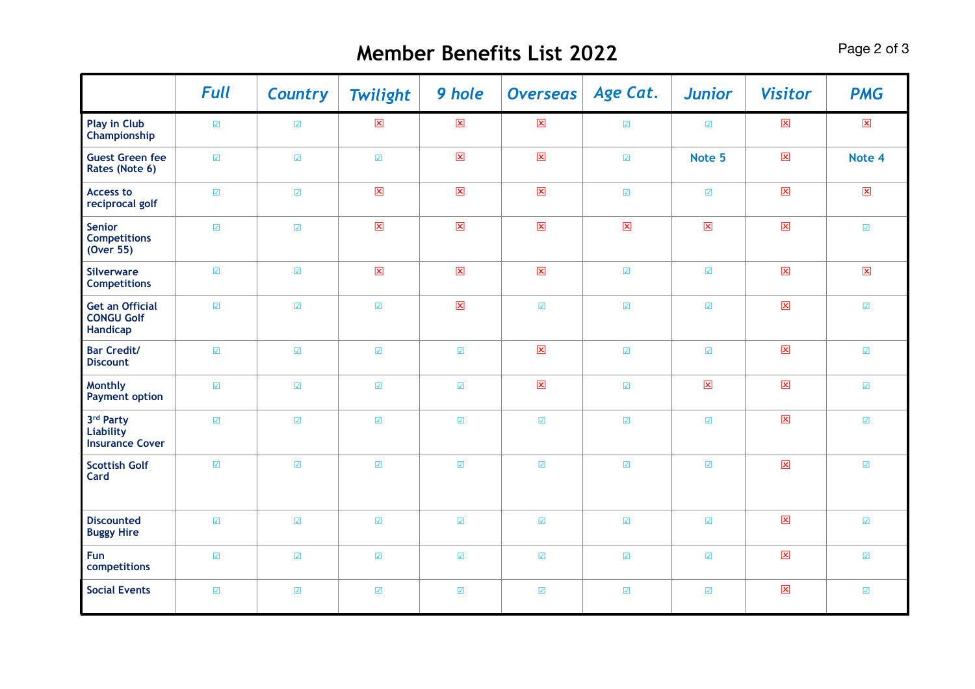## **Member Benefits List 2022** Page 2 of 3

|                                                         | <b>Full</b>              | <b>Country</b>                  | <b>Twilight</b>             | 9 hole                      | <b>Overseas</b>          | Age Cat.                 | <b>Junior</b>            | <b>Visitor</b>          | <b>PMG</b>               |
|---------------------------------------------------------|--------------------------|---------------------------------|-----------------------------|-----------------------------|--------------------------|--------------------------|--------------------------|-------------------------|--------------------------|
| <b>Play in Club</b><br>Championship                     | $\sqrt{ }$               | $\sqrt{ }$                      | $\boxed{\mathbf{x}}$        | $\overline{\mathbf{x}}$     | $\overline{\mathbf{x}}$  | $\sqrt{\phantom{a}}$     | $\sqrt{ }$               | $\overline{\mathbf{x}}$ | $\overline{\mathbf{x}}$  |
| <b>Guest Green fee</b><br>Rates (Note 6)                | $\sqrt{ }$               | $\sqrt{ }$                      | $\sqrt{ }$                  | $\overline{\mathbf{x}}$     | $\mathbf{\overline{x}}$  | $\overline{\checkmark}$  | Note 5                   | $\overline{\mathbf{x}}$ | Note 4                   |
| <b>Access to</b><br>reciprocal golf                     | $\overline{\mathcal{L}}$ | $\overline{\blacktriangledown}$ | $\overline{\mathbf{x}}$     | $\overline{\mathbf{x}}$     | $\overline{\mathbf{x}}$  | $\overline{\mathcal{L}}$ | $\overline{\mathcal{L}}$ | $\overline{\mathbf{x}}$ | $\overline{\mathbf{x}}$  |
| <b>Senior</b><br><b>Competitions</b><br>(Over 55)       | $\overline{\checkmark}$  | $\overline{\mathcal{L}}$        | $\boxed{\mathbf{x}}$        | $\boxed{\mathbf{x}}$        | $\mathbf{\overline{X}}$  | $\mathbf{\overline{x}}$  | $\mathbf{\overline{x}}$  | $\mathbf{\Sigma}$       | $\overline{\mathcal{L}}$ |
| <b>Silverware</b><br><b>Competitions</b>                | $\sqrt{ }$               | $\sqrt{ }$                      | $\boxed{\mathbf{x}}$        | $\boxed{\mathbf{x}}$        | $\mathbf{\overline{x}}$  | $\sqrt{\phantom{a}}$     | $\sqrt{ }$               | $\boxed{\mathbf{x}}$    | $\boxed{\mathbf{x}}$     |
| <b>Get an Official</b><br><b>CONGU Golf</b><br>Handicap | $\sqrt{ }$               | $\overline{\checkmark}$         | $\overline{\mathcal{L}}$    | $\boxed{\mathbf{x}}$        | $\overline{\mathcal{L}}$ | $\overline{\checkmark}$  | $\overline{\mathcal{L}}$ | $\pmb{\times}$          | $\sqrt{ }$               |
| <b>Bar Credit/</b><br><b>Discount</b>                   | $\sqrt{ }$               | $\sqrt{ }$                      | $\overline{\checkmark}$     | $\sqrt{ }$                  | $\mathbf{\overline{x}}$  | $\sqrt{\phantom{a}}$     | $\sqrt{ }$               | $\mathbf{\overline{x}}$ | $\sqrt{ }$               |
| <b>Monthly</b><br><b>Payment option</b>                 | $\sqrt{\phantom{a}}$     | $\overline{\mathcal{L}}$        | $\sqrt{ }$                  | $\sqrt{ }$                  | $\mathbf{\overline{x}}$  | $\overline{\mathcal{L}}$ | $\mathbf{\overline{x}}$  | $\mathbf{\Sigma}$       | $\overline{\mathcal{L}}$ |
| 3rd Party<br>Liability<br><b>Insurance Cover</b>        | $\sqrt{ }$               | $\sqrt{ }$                      | $\overline{\blacktriangle}$ | $\sqrt{ }$                  | $\overline{\mathcal{L}}$ | $\sqrt{\phantom{a}}$     | $\overline{\mathcal{L}}$ | $\mathbf{x}$            | $\sqrt{\phantom{a}}$     |
| <b>Scottish Golf</b><br>Card                            | $\overline{\mathcal{L}}$ | $\sqrt{ }$                      | $\sqrt{ }$                  | $\sqrt{ }$                  | $\sqrt{ }$               | $\overline{\mathcal{L}}$ | $\overline{\mathcal{L}}$ | $\pmb{\times}$          | $\sqrt{ }$               |
| <b>Discounted</b><br><b>Buggy Hire</b>                  | $\sqrt{ }$               | $\overline{\mathcal{L}}$        | $\sqrt{ }$                  | $\sqrt{2}$                  | $\sqrt{ }$               | $\sqrt{\phantom{a}}$     | $\sqrt{ }$               | $\mathbf{\Sigma}$       | $\sqrt{ }$               |
| Fun<br>competitions                                     | $\sqrt{ }$               | $\sqrt{ }$                      | $\sqrt{ }$                  | $\sqrt{\phantom{a}}$        | $\sqrt{ }$               | $\sqrt{\phantom{a}}$     | $\overline{\mathcal{L}}$ | $\boxed{\mathbf{x}}$    | $\sqrt{\phantom{a}}$     |
| <b>Social Events</b>                                    | $\sqrt{ }$               | $\sqrt{ }$                      | $\overline{\checkmark}$     | $\overline{\blacktriangle}$ | $\sqrt{ }$               | $\overline{\checkmark}$  | $\overline{\mathcal{L}}$ | $\pmb{\times}$          | $\sqrt{ }$               |